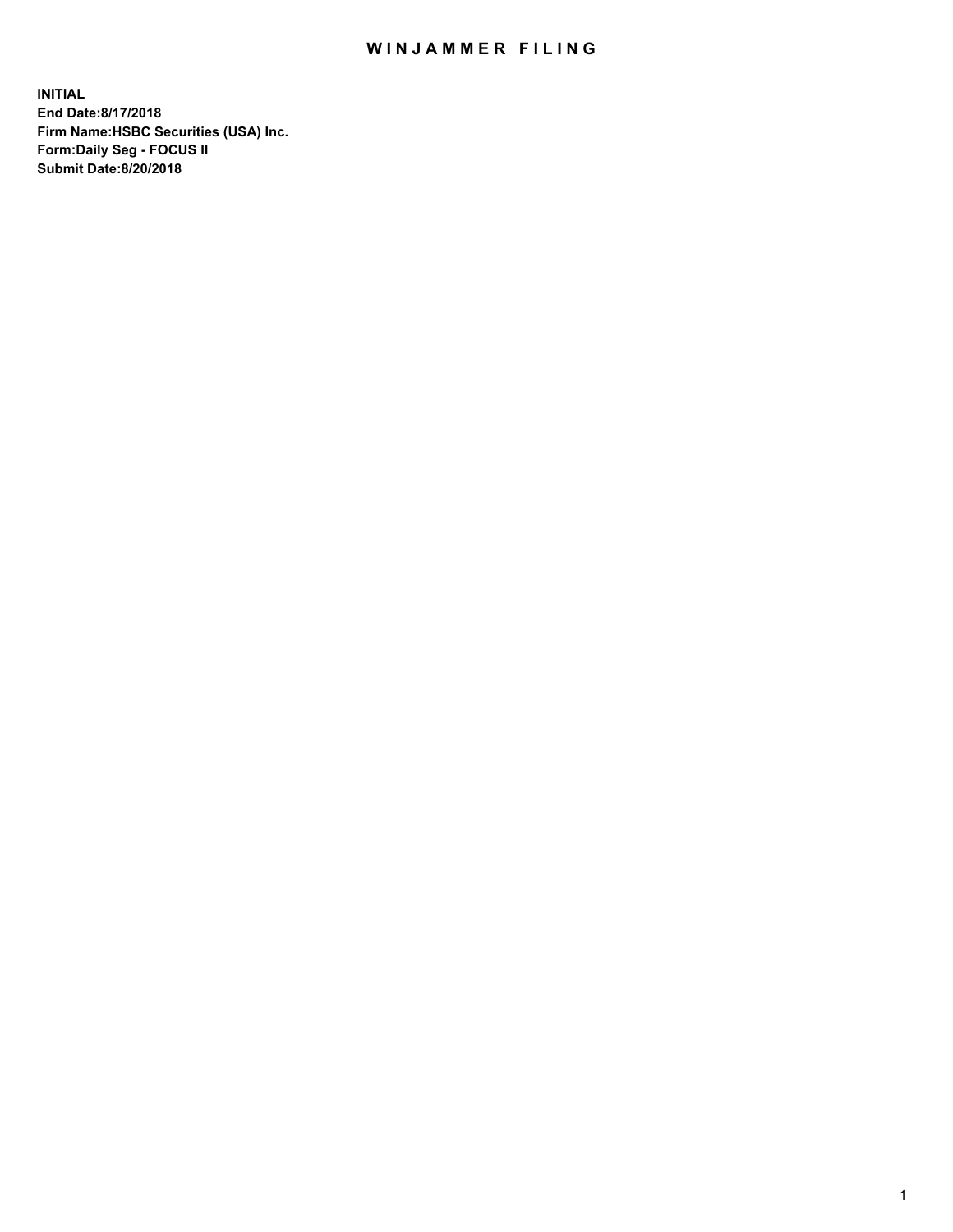## WIN JAMMER FILING

**INITIAL End Date:8/17/2018 Firm Name:HSBC Securities (USA) Inc. Form:Daily Seg - FOCUS II Submit Date:8/20/2018**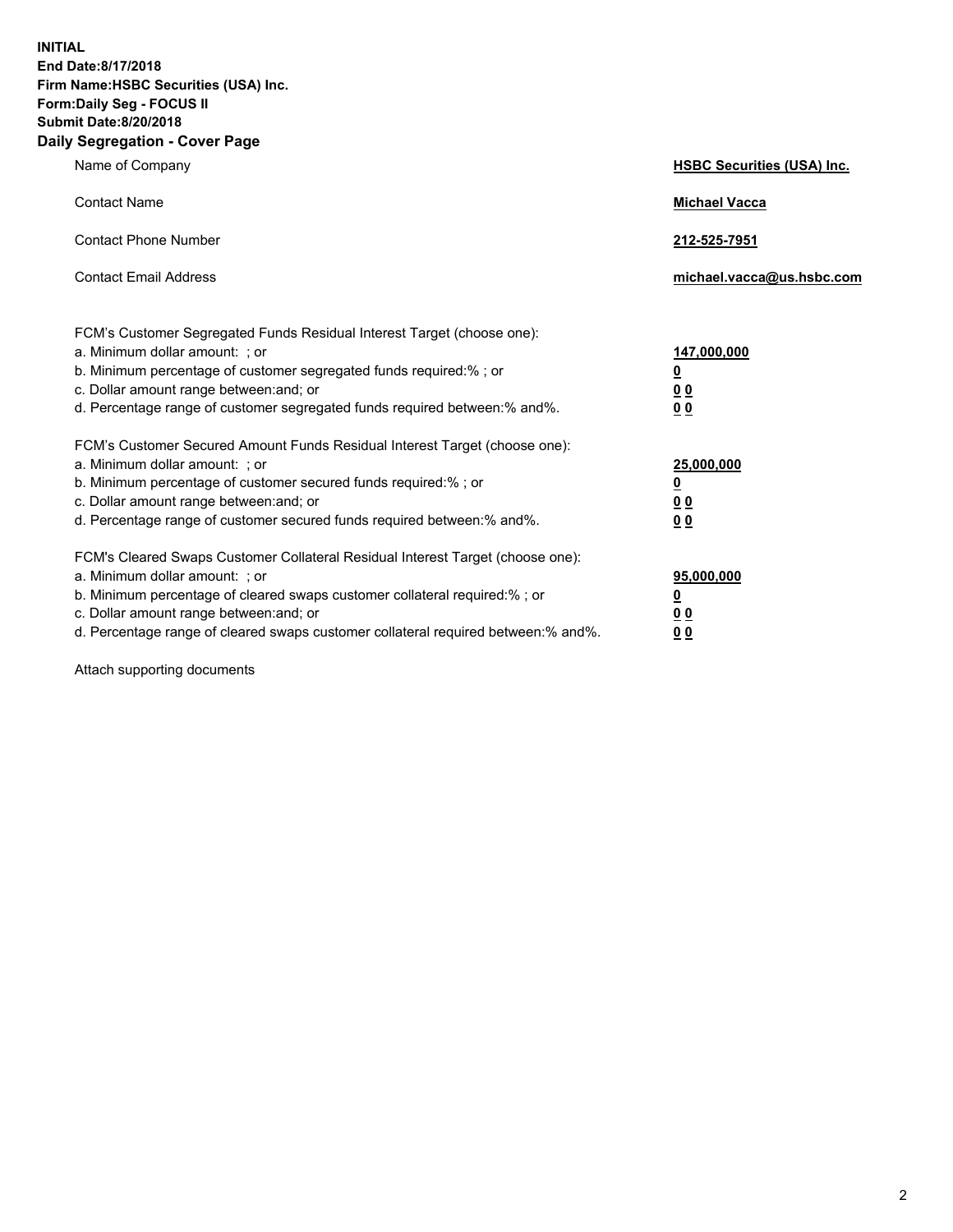**INITIAL End Date:8/17/2018 Firm Name:HSBC Securities (USA) Inc. Form:Daily Seg - FOCUS II Submit Date:8/20/2018 Daily Segregation - Cover Page**

| Name of Company                                                                                                                                                                                                                                                                                                                | <b>HSBC Securities (USA) Inc.</b>                                          |
|--------------------------------------------------------------------------------------------------------------------------------------------------------------------------------------------------------------------------------------------------------------------------------------------------------------------------------|----------------------------------------------------------------------------|
| <b>Contact Name</b>                                                                                                                                                                                                                                                                                                            | <b>Michael Vacca</b>                                                       |
| <b>Contact Phone Number</b>                                                                                                                                                                                                                                                                                                    | 212-525-7951                                                               |
| <b>Contact Email Address</b>                                                                                                                                                                                                                                                                                                   | michael.vacca@us.hsbc.com                                                  |
| FCM's Customer Segregated Funds Residual Interest Target (choose one):<br>a. Minimum dollar amount: : or<br>b. Minimum percentage of customer segregated funds required:% ; or<br>c. Dollar amount range between: and; or<br>d. Percentage range of customer segregated funds required between:% and%.                         | 147,000,000<br>$\overline{\mathbf{0}}$<br>0 <sub>0</sub><br>0 <sub>0</sub> |
| FCM's Customer Secured Amount Funds Residual Interest Target (choose one):<br>a. Minimum dollar amount: ; or<br>b. Minimum percentage of customer secured funds required:%; or<br>c. Dollar amount range between: and; or<br>d. Percentage range of customer secured funds required between:% and%.                            | 25,000,000<br><u>0</u><br>0 <sub>0</sub><br>00                             |
| FCM's Cleared Swaps Customer Collateral Residual Interest Target (choose one):<br>a. Minimum dollar amount: ; or<br>b. Minimum percentage of cleared swaps customer collateral required:% ; or<br>c. Dollar amount range between: and; or<br>d. Percentage range of cleared swaps customer collateral required between:% and%. | 95,000,000<br><u>0</u><br>00<br>0 <sub>0</sub>                             |

Attach supporting documents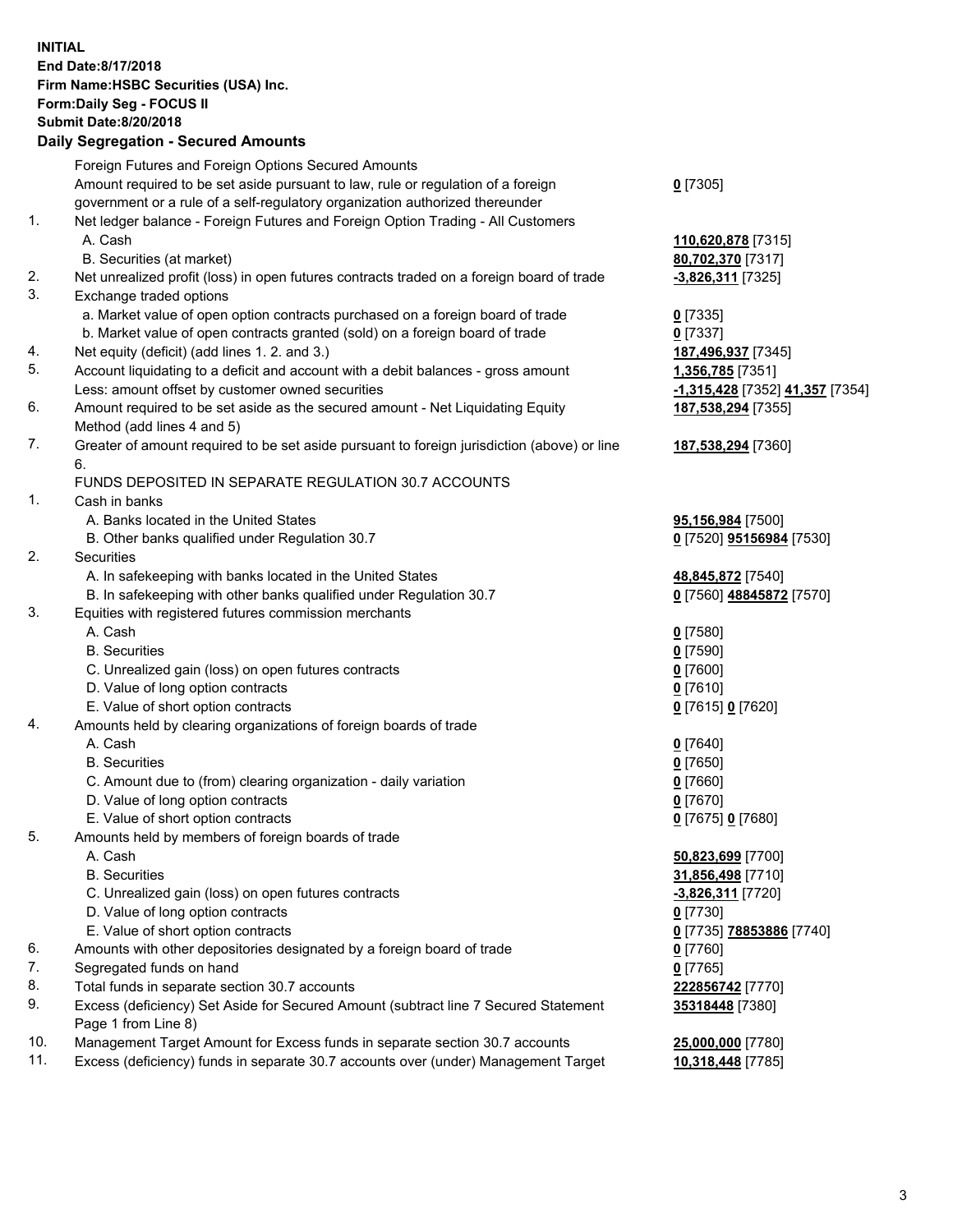**INITIAL End Date:8/17/2018 Firm Name:HSBC Securities (USA) Inc. Form:Daily Seg - FOCUS II Submit Date:8/20/2018 Daily Segregation - Secured Amounts**

Foreign Futures and Foreign Options Secured Amounts Amount required to be set aside pursuant to law, rule or regulation of a foreign government or a rule of a self-regulatory organization authorized thereunder **0** [7305] 1. Net ledger balance - Foreign Futures and Foreign Option Trading - All Customers A. Cash **110,620,878** [7315] B. Securities (at market) **80,702,370** [7317] 2. Net unrealized profit (loss) in open futures contracts traded on a foreign board of trade **-3,826,311** [7325] 3. Exchange traded options a. Market value of open option contracts purchased on a foreign board of trade **0** [7335] b. Market value of open contracts granted (sold) on a foreign board of trade **0** [7337] 4. Net equity (deficit) (add lines 1. 2. and 3.) **187,496,937** [7345] 5. Account liquidating to a deficit and account with a debit balances - gross amount **1,356,785** [7351] Less: amount offset by customer owned securities **-1,315,428** [7352] **41,357** [7354] 6. Amount required to be set aside as the secured amount - Net Liquidating Equity Method (add lines 4 and 5) **187,538,294** [7355] 7. Greater of amount required to be set aside pursuant to foreign jurisdiction (above) or line 6. **187,538,294** [7360] FUNDS DEPOSITED IN SEPARATE REGULATION 30.7 ACCOUNTS 1. Cash in banks A. Banks located in the United States **95,156,984** [7500] B. Other banks qualified under Regulation 30.7 **0** [7520] **95156984** [7530] 2. Securities A. In safekeeping with banks located in the United States **48,845,872** [7540] B. In safekeeping with other banks qualified under Regulation 30.7 **0** [7560] **48845872** [7570] 3. Equities with registered futures commission merchants A. Cash **0** [7580] B. Securities **0** [7590] C. Unrealized gain (loss) on open futures contracts **0** [7600] D. Value of long option contracts **0** [7610] E. Value of short option contracts **0** [7615] **0** [7620] 4. Amounts held by clearing organizations of foreign boards of trade A. Cash **0** [7640] B. Securities **0** [7650] C. Amount due to (from) clearing organization - daily variation **0** [7660] D. Value of long option contracts **0** [7670] E. Value of short option contracts **0** [7675] **0** [7680] 5. Amounts held by members of foreign boards of trade A. Cash **50,823,699** [7700] B. Securities **31,856,498** [7710] C. Unrealized gain (loss) on open futures contracts **-3,826,311** [7720] D. Value of long option contracts **0** [7730] E. Value of short option contracts **0** [7735] **78853886** [7740] 6. Amounts with other depositories designated by a foreign board of trade **0** [7760] 7. Segregated funds on hand **0** [7765] 8. Total funds in separate section 30.7 accounts **222856742** [7770] 9. Excess (deficiency) Set Aside for Secured Amount (subtract line 7 Secured Statement Page 1 from Line 8) **35318448** [7380] 10. Management Target Amount for Excess funds in separate section 30.7 accounts **25,000,000** [7780] 11. Excess (deficiency) funds in separate 30.7 accounts over (under) Management Target **10,318,448** [7785]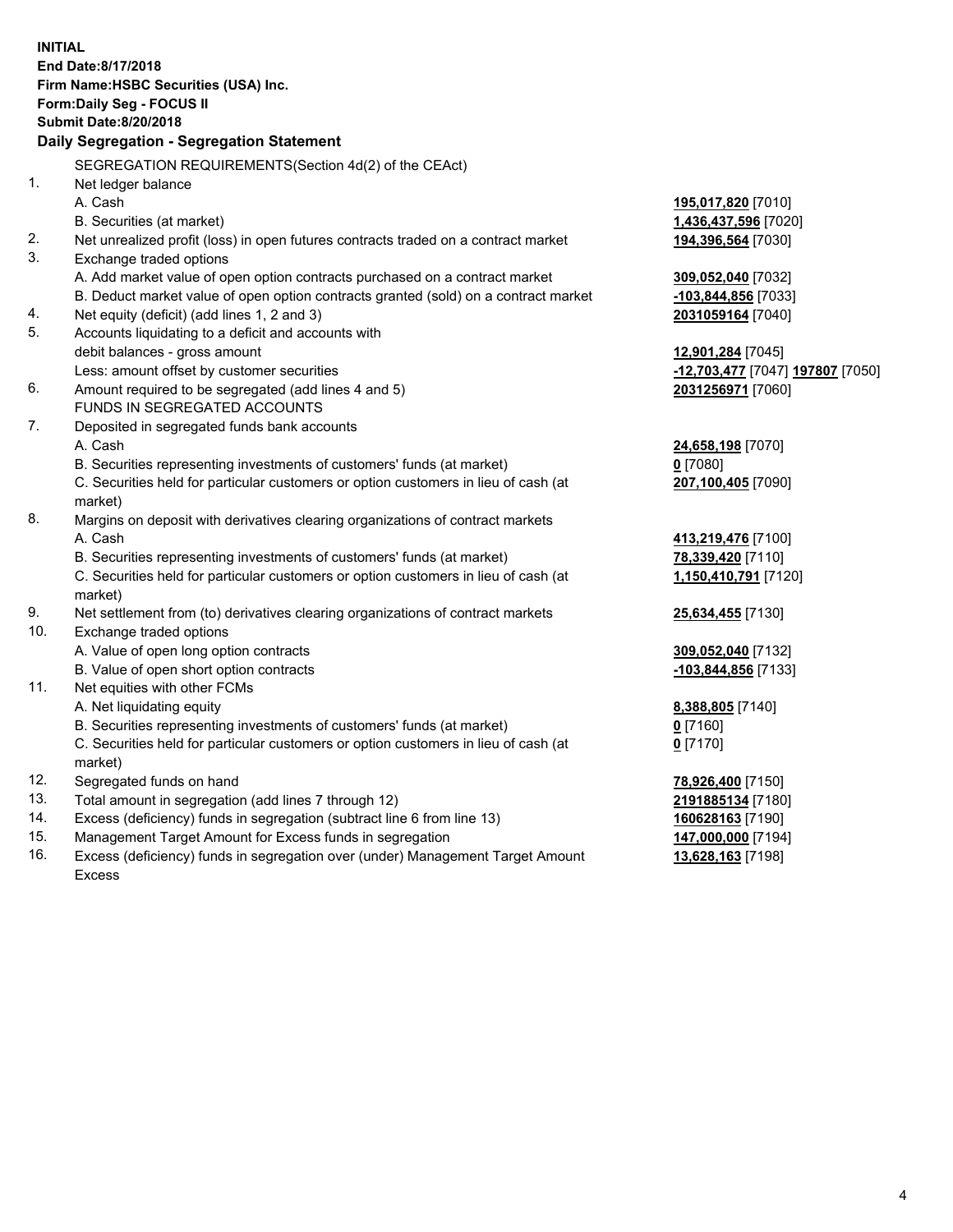|                | <b>INITIAL</b><br>End Date:8/17/2018<br>Firm Name: HSBC Securities (USA) Inc.<br>Form: Daily Seg - FOCUS II<br><b>Submit Date:8/20/2018</b><br>Daily Segregation - Segregation Statement |                                               |
|----------------|------------------------------------------------------------------------------------------------------------------------------------------------------------------------------------------|-----------------------------------------------|
|                | SEGREGATION REQUIREMENTS(Section 4d(2) of the CEAct)                                                                                                                                     |                                               |
| 1 <sub>1</sub> | Net ledger balance                                                                                                                                                                       |                                               |
|                | A. Cash                                                                                                                                                                                  | 195,017,820 [7010]                            |
|                | B. Securities (at market)                                                                                                                                                                | 1,436,437,596 [7020]                          |
| 2.             | Net unrealized profit (loss) in open futures contracts traded on a contract market                                                                                                       | 194,396,564 [7030]                            |
| 3.             | Exchange traded options                                                                                                                                                                  |                                               |
|                | A. Add market value of open option contracts purchased on a contract market                                                                                                              | 309,052,040 [7032]                            |
|                | B. Deduct market value of open option contracts granted (sold) on a contract market                                                                                                      | -103,844,856 [7033]                           |
| 4.             | Net equity (deficit) (add lines 1, 2 and 3)                                                                                                                                              | 2031059164 [7040]                             |
| 5.             | Accounts liquidating to a deficit and accounts with                                                                                                                                      |                                               |
|                | debit balances - gross amount                                                                                                                                                            | 12,901,284 [7045]                             |
|                | Less: amount offset by customer securities                                                                                                                                               | <mark>-12,703,477</mark> [7047] 197807 [7050] |
| 6.             | Amount required to be segregated (add lines 4 and 5)                                                                                                                                     | 2031256971 [7060]                             |
|                | FUNDS IN SEGREGATED ACCOUNTS                                                                                                                                                             |                                               |
| 7.             | Deposited in segregated funds bank accounts                                                                                                                                              |                                               |
|                | A. Cash                                                                                                                                                                                  | 24,658,198 [7070]                             |
|                | B. Securities representing investments of customers' funds (at market)                                                                                                                   | $0$ [7080]                                    |
|                | C. Securities held for particular customers or option customers in lieu of cash (at                                                                                                      | 207,100,405 [7090]                            |
|                | market)                                                                                                                                                                                  |                                               |
| 8.             | Margins on deposit with derivatives clearing organizations of contract markets                                                                                                           |                                               |
|                | A. Cash                                                                                                                                                                                  | 413,219,476 [7100]                            |
|                | B. Securities representing investments of customers' funds (at market)                                                                                                                   | 78,339,420 [7110]                             |
|                | C. Securities held for particular customers or option customers in lieu of cash (at<br>market)                                                                                           | 1,150,410,791 [7120]                          |
| 9.             | Net settlement from (to) derivatives clearing organizations of contract markets                                                                                                          | 25,634,455 [7130]                             |
| 10.            | Exchange traded options                                                                                                                                                                  |                                               |
|                | A. Value of open long option contracts                                                                                                                                                   | 309,052,040 [7132]                            |
|                | B. Value of open short option contracts                                                                                                                                                  | -103,844,856 [7133]                           |
| 11.            | Net equities with other FCMs                                                                                                                                                             |                                               |
|                | A. Net liquidating equity                                                                                                                                                                | 8,388,805 [7140]                              |
|                | B. Securities representing investments of customers' funds (at market)                                                                                                                   | 0 [7160]                                      |
|                | C. Securities held for particular customers or option customers in lieu of cash (at                                                                                                      | $0$ [7170]                                    |
|                | market)                                                                                                                                                                                  |                                               |
| 12.            | Segregated funds on hand                                                                                                                                                                 | 78,926,400 [7150]                             |
| 13.            | Total amount in segregation (add lines 7 through 12)                                                                                                                                     | 2191885134 [7180]                             |
| 14.            | Excess (deficiency) funds in segregation (subtract line 6 from line 13)                                                                                                                  | 160628163 [7190]                              |
| 15.            | Management Target Amount for Excess funds in segregation                                                                                                                                 | 147,000,000 [7194]                            |
| 16.            | Excess (deficiency) funds in segregation over (under) Management Target Amount                                                                                                           | 13,628,163 [7198]                             |

16. Excess (deficiency) funds in segregation over (under) Management Target Amount Excess